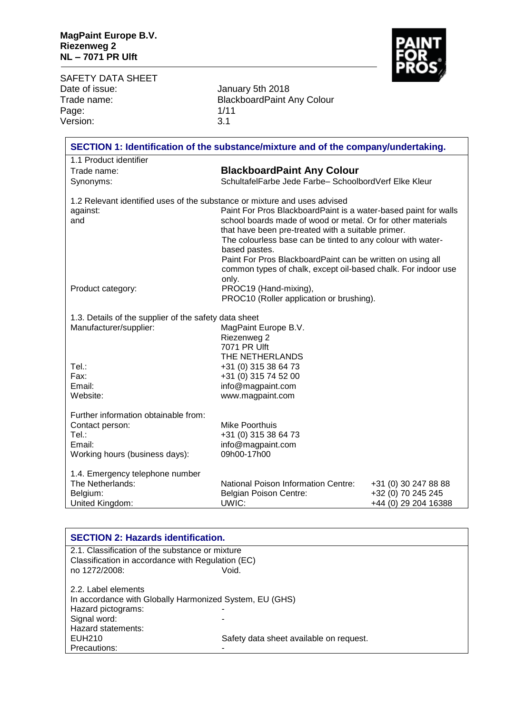

SAFETY DATA SHEET<br>Date of issue: Date of issue: January 5th 2018 Page: 1/11<br>Version: 1/11<br>3.1 Version:

Trade name: BlackboardPaint Any Colour

| SECTION 1: Identification of the substance/mixture and of the company/undertaking. |                                                                              |                      |
|------------------------------------------------------------------------------------|------------------------------------------------------------------------------|----------------------|
| 1.1 Product identifier                                                             |                                                                              |                      |
| Trade name:                                                                        | <b>BlackboardPaint Any Colour</b>                                            |                      |
| Synonyms:                                                                          | SchultafelFarbe Jede Farbe-SchoolbordVerf Elke Kleur                         |                      |
| 1.2 Relevant identified uses of the substance or mixture and uses advised          |                                                                              |                      |
| against:                                                                           | Paint For Pros BlackboardPaint is a water-based paint for walls              |                      |
| and                                                                                | school boards made of wood or metal. Or for other materials                  |                      |
|                                                                                    | that have been pre-treated with a suitable primer.                           |                      |
|                                                                                    | The colourless base can be tinted to any colour with water-<br>based pastes. |                      |
|                                                                                    | Paint For Pros BlackboardPaint can be written on using all                   |                      |
|                                                                                    | common types of chalk, except oil-based chalk. For indoor use                |                      |
|                                                                                    | only.                                                                        |                      |
| Product category:                                                                  | PROC19 (Hand-mixing),                                                        |                      |
|                                                                                    | PROC10 (Roller application or brushing).                                     |                      |
| 1.3. Details of the supplier of the safety data sheet                              |                                                                              |                      |
| Manufacturer/supplier:                                                             | MagPaint Europe B.V.                                                         |                      |
|                                                                                    | Riezenweg 2                                                                  |                      |
|                                                                                    | 7071 PR Ulft                                                                 |                      |
|                                                                                    | THE NETHERLANDS                                                              |                      |
| Tel.:<br>Fax:                                                                      | +31 (0) 315 38 64 73                                                         |                      |
| Email:                                                                             | +31 (0) 315 74 52 00<br>info@magpaint.com                                    |                      |
| Website:                                                                           | www.magpaint.com                                                             |                      |
|                                                                                    |                                                                              |                      |
| Further information obtainable from:                                               |                                                                              |                      |
| Contact person:                                                                    | Mike Poorthuis                                                               |                      |
| Tel.:<br>Email:                                                                    | +31 (0) 315 38 64 73                                                         |                      |
| Working hours (business days):                                                     | info@magpaint.com<br>09h00-17h00                                             |                      |
|                                                                                    |                                                                              |                      |
| 1.4. Emergency telephone number                                                    |                                                                              |                      |
| The Netherlands:                                                                   | National Poison Information Centre:                                          | +31 (0) 30 247 88 88 |
| Belgium:                                                                           | <b>Belgian Poison Centre:</b>                                                | +32 (0) 70 245 245   |
| United Kingdom:                                                                    | UWIC:                                                                        | +44 (0) 29 204 16388 |

| <b>SECTION 2: Hazards identification.</b>                                                            |                                         |
|------------------------------------------------------------------------------------------------------|-----------------------------------------|
| 2.1. Classification of the substance or mixture<br>Classification in accordance with Regulation (EC) |                                         |
| no 1272/2008:                                                                                        | Void.                                   |
| 2.2. Label elements                                                                                  |                                         |
| In accordance with Globally Harmonized System, EU (GHS)                                              |                                         |
| Hazard pictograms:                                                                                   |                                         |
| Signal word:                                                                                         |                                         |
| Hazard statements:                                                                                   |                                         |
| EUH210                                                                                               | Safety data sheet available on request. |
| Precautions:                                                                                         |                                         |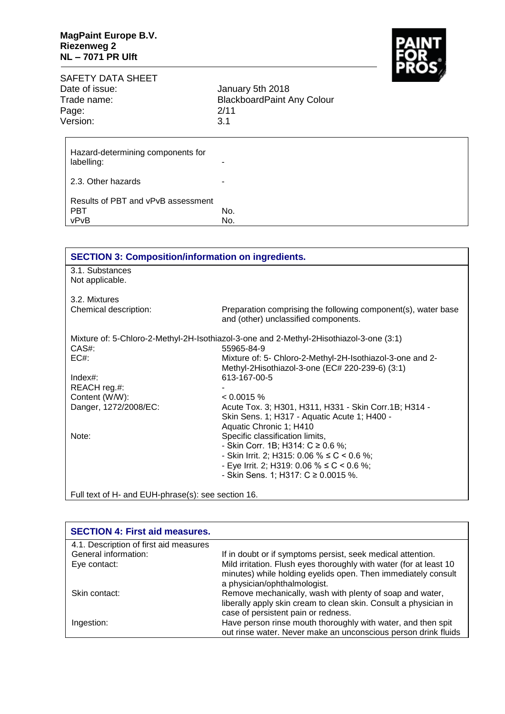

| SAFETY DATA SHEET |                                   |
|-------------------|-----------------------------------|
| Date of issue:    | January 5th 2018                  |
| Trade name:       | <b>BlackboardPaint Any Colour</b> |
| Page:             | 2/11                              |
| Version:          | .3.1                              |
|                   |                                   |

| Hazard-determining components for<br>labelling:          | -          |
|----------------------------------------------------------|------------|
| 2.3. Other hazards                                       | ۰          |
| Results of PBT and vPvB assessment<br><b>PBT</b><br>vPvB | No.<br>No. |

| <b>SECTION 3: Composition/information on ingredients.</b> |                                                                                                       |
|-----------------------------------------------------------|-------------------------------------------------------------------------------------------------------|
| 3.1. Substances                                           |                                                                                                       |
| Not applicable.                                           |                                                                                                       |
| 3.2. Mixtures                                             |                                                                                                       |
| Chemical description:                                     | Preparation comprising the following component(s), water base<br>and (other) unclassified components. |
|                                                           | Mixture of: 5-Chloro-2-Methyl-2H-Isothiazol-3-one and 2-Methyl-2Hisothiazol-3-one (3:1)               |
| CAS#:                                                     | 55965-84-9                                                                                            |
| EC#                                                       | Mixture of: 5- Chloro-2-Methyl-2H-Isothiazol-3-one and 2-                                             |
|                                                           | Methyl-2Hisothiazol-3-one (EC# 220-239-6) (3:1)                                                       |
| $Index#$ :                                                | 613-167-00-5                                                                                          |
| REACH reg.#:                                              |                                                                                                       |
| Content (W/W):                                            | $< 0.0015 \%$                                                                                         |
| Danger, 1272/2008/EC:                                     | Acute Tox. 3; H301, H311, H331 - Skin Corr. 1B; H314 -                                                |
|                                                           | Skin Sens. 1; H317 - Aquatic Acute 1; H400 -                                                          |
|                                                           | Aquatic Chronic 1; H410                                                                               |
| Note:                                                     | Specific classification limits,                                                                       |
|                                                           | - Skin Corr. 1B; H314: $C \ge 0.6$ %;                                                                 |
|                                                           | - Skin Irrit. 2; H315: 0.06 % ≤ C < 0.6 %;                                                            |
|                                                           | - Eye Irrit. 2; H319: 0.06 % $\leq C$ < 0.6 %;                                                        |
|                                                           | - Skin Sens. 1; H317: $C \ge 0.0015$ %.                                                               |
|                                                           |                                                                                                       |
| Full text of H- and EUH-phrase(s): see section 16.        |                                                                                                       |

| <b>SECTION 4: First aid measures.</b>  |                                                                    |
|----------------------------------------|--------------------------------------------------------------------|
| 4.1. Description of first aid measures |                                                                    |
| General information:                   | If in doubt or if symptoms persist, seek medical attention.        |
| Eye contact:                           | Mild irritation. Flush eyes thoroughly with water (for at least 10 |
|                                        | minutes) while holding eyelids open. Then immediately consult      |
|                                        | a physician/ophthalmologist.                                       |
| Skin contact:                          | Remove mechanically, wash with plenty of soap and water,           |
|                                        | liberally apply skin cream to clean skin. Consult a physician in   |
|                                        | case of persistent pain or redness.                                |
| Ingestion:                             | Have person rinse mouth thoroughly with water, and then spit       |
|                                        | out rinse water. Never make an unconscious person drink fluids     |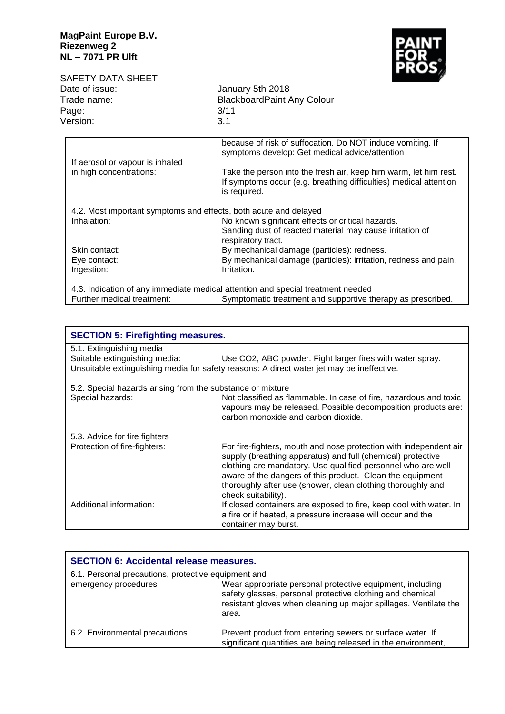

| <b>SAFETY DATA SHEET</b><br>Date of issue:<br>Trade name:<br>Page:<br>Version:  | <u>inyy</u><br>January 5th 2018<br><b>BlackboardPaint Any Colour</b><br>3/11<br>3.1                                                                   |
|---------------------------------------------------------------------------------|-------------------------------------------------------------------------------------------------------------------------------------------------------|
| If aerosol or vapour is inhaled                                                 | because of risk of suffocation. Do NOT induce vomiting. If<br>symptoms develop: Get medical advice/attention                                          |
| in high concentrations:                                                         | Take the person into the fresh air, keep him warm, let him rest.<br>If symptoms occur (e.g. breathing difficulties) medical attention<br>is required. |
| 4.2. Most important symptoms and effects, both acute and delayed<br>Inhalation: | No known significant effects or critical hazards.<br>Sanding dust of reacted material may cause irritation of<br>respiratory tract.                   |
| Skin contact:<br>Eye contact:<br>Ingestion:                                     | By mechanical damage (particles): redness.<br>By mechanical damage (particles): irritation, redness and pain.<br>Irritation.                          |
| Further medical treatment:                                                      | 4.3. Indication of any immediate medical attention and special treatment needed<br>Symptomatic treatment and supportive therapy as prescribed.        |

|                                                            | <b>SECTION 5: Firefighting measures.</b>                                                                                                                                                                                                                                                                                                            |  |
|------------------------------------------------------------|-----------------------------------------------------------------------------------------------------------------------------------------------------------------------------------------------------------------------------------------------------------------------------------------------------------------------------------------------------|--|
| 5.1. Extinguishing media                                   |                                                                                                                                                                                                                                                                                                                                                     |  |
| Suitable extinguishing media:                              | Use CO2, ABC powder. Fight larger fires with water spray.<br>Unsuitable extinguishing media for safety reasons: A direct water jet may be ineffective.                                                                                                                                                                                              |  |
| 5.2. Special hazards arising from the substance or mixture |                                                                                                                                                                                                                                                                                                                                                     |  |
| Special hazards:                                           | Not classified as flammable. In case of fire, hazardous and toxic<br>vapours may be released. Possible decomposition products are:<br>carbon monoxide and carbon dioxide.                                                                                                                                                                           |  |
| 5.3. Advice for fire fighters                              |                                                                                                                                                                                                                                                                                                                                                     |  |
| Protection of fire-fighters:                               | For fire-fighters, mouth and nose protection with independent air<br>supply (breathing apparatus) and full (chemical) protective<br>clothing are mandatory. Use qualified personnel who are well<br>aware of the dangers of this product. Clean the equipment<br>thoroughly after use (shower, clean clothing thoroughly and<br>check suitability). |  |
| Additional information:                                    | If closed containers are exposed to fire, keep cool with water. In<br>a fire or if heated, a pressure increase will occur and the<br>container may burst.                                                                                                                                                                                           |  |

| <b>SECTION 6: Accidental release measures.</b>      |                                                                                                                                                                                                     |
|-----------------------------------------------------|-----------------------------------------------------------------------------------------------------------------------------------------------------------------------------------------------------|
| 6.1. Personal precautions, protective equipment and |                                                                                                                                                                                                     |
| emergency procedures                                | Wear appropriate personal protective equipment, including<br>safety glasses, personal protective clothing and chemical<br>resistant gloves when cleaning up major spillages. Ventilate the<br>area. |
| 6.2. Environmental precautions                      | Prevent product from entering sewers or surface water. If<br>significant quantities are being released in the environment,                                                                          |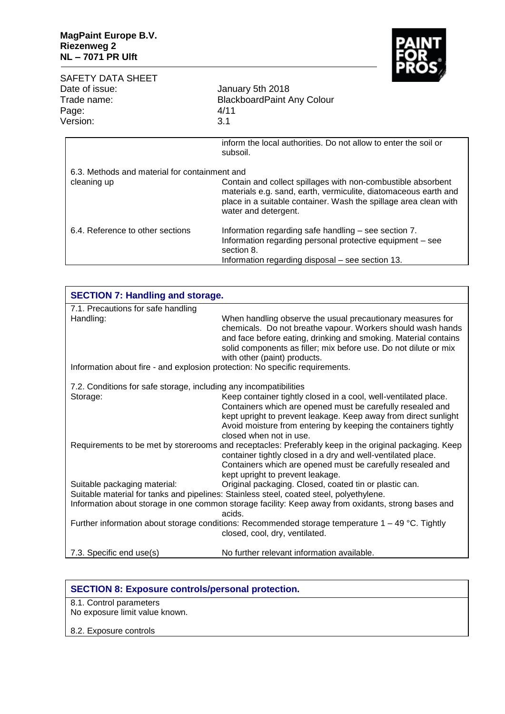

| <b>SAFETY DATA SHEET</b><br>Date of issue:<br>Trade name:<br>Page:<br>Version: | January 5th 2018<br><b>BlackboardPaint Any Colour</b><br>4/11<br>3.1                                                                                                                                                                                                                                       |
|--------------------------------------------------------------------------------|------------------------------------------------------------------------------------------------------------------------------------------------------------------------------------------------------------------------------------------------------------------------------------------------------------|
| 6.3. Methods and material for containment and<br>cleaning up                   | inform the local authorities. Do not allow to enter the soil or<br>subsoil.<br>Contain and collect spillages with non-combustible absorbent<br>materials e.g. sand, earth, vermiculite, diatomaceous earth and<br>place in a suitable container. Wash the spillage area clean with<br>water and detergent. |
| 6.4. Reference to other sections                                               | Information regarding safe handling – see section 7.<br>Information regarding personal protective equipment – see<br>section 8.<br>Information regarding disposal – see section 13.                                                                                                                        |

| <b>SECTION 7: Handling and storage.</b>                                      |                                                                                                                                                                                                                                                                                                  |
|------------------------------------------------------------------------------|--------------------------------------------------------------------------------------------------------------------------------------------------------------------------------------------------------------------------------------------------------------------------------------------------|
| 7.1. Precautions for safe handling                                           |                                                                                                                                                                                                                                                                                                  |
| Handling:                                                                    | When handling observe the usual precautionary measures for<br>chemicals. Do not breathe vapour. Workers should wash hands<br>and face before eating, drinking and smoking. Material contains<br>solid components as filler; mix before use. Do not dilute or mix<br>with other (paint) products. |
| Information about fire - and explosion protection: No specific requirements. |                                                                                                                                                                                                                                                                                                  |
| 7.2. Conditions for safe storage, including any incompatibilities            |                                                                                                                                                                                                                                                                                                  |
| Storage:                                                                     | Keep container tightly closed in a cool, well-ventilated place.<br>Containers which are opened must be carefully resealed and<br>kept upright to prevent leakage. Keep away from direct sunlight<br>Avoid moisture from entering by keeping the containers tightly<br>closed when not in use.    |
|                                                                              | Requirements to be met by storerooms and receptacles: Preferably keep in the original packaging. Keep<br>container tightly closed in a dry and well-ventilated place.<br>Containers which are opened must be carefully resealed and<br>kept upright to prevent leakage.                          |
| Suitable packaging material:                                                 | Original packaging. Closed, coated tin or plastic can.<br>Suitable material for tanks and pipelines: Stainless steel, coated steel, polyethylene.<br>Information about storage in one common storage facility: Keep away from oxidants, strong bases and<br>acids.                               |
|                                                                              | Further information about storage conditions: Recommended storage temperature $1 - 49$ °C. Tightly<br>closed, cool, dry, ventilated.                                                                                                                                                             |
| 7.3. Specific end use(s)                                                     | No further relevant information available.                                                                                                                                                                                                                                                       |

| <b>SECTION 8: Exposure controls/personal protection.</b>  |
|-----------------------------------------------------------|
| 8.1. Control parameters<br>No exposure limit value known. |
| 8.2. Exposure controls                                    |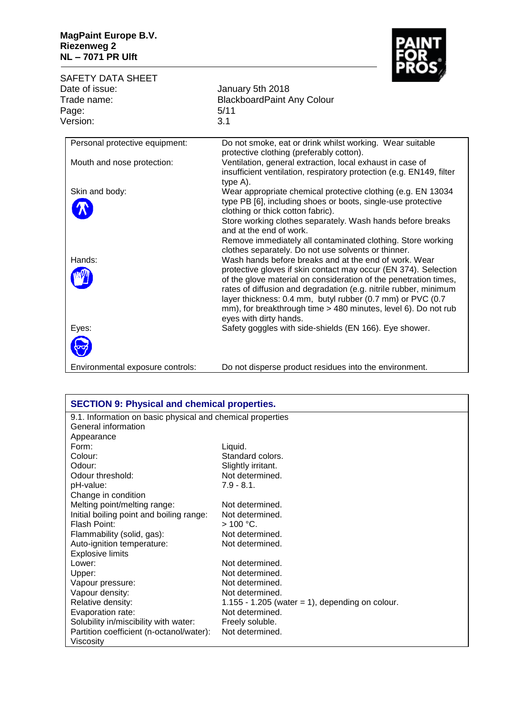## **MagPaint Europe B.V. Riezenweg 2 NL – 7071 PR Ulft**



| SAFETY DATA SHEET              |                                                                                                                                                                                                                                                                                                                                                                                                                            |
|--------------------------------|----------------------------------------------------------------------------------------------------------------------------------------------------------------------------------------------------------------------------------------------------------------------------------------------------------------------------------------------------------------------------------------------------------------------------|
| Date of issue:                 | January 5th 2018                                                                                                                                                                                                                                                                                                                                                                                                           |
| Trade name:                    | <b>BlackboardPaint Any Colour</b>                                                                                                                                                                                                                                                                                                                                                                                          |
| Page:                          | 5/11                                                                                                                                                                                                                                                                                                                                                                                                                       |
| Version:                       | 3.1                                                                                                                                                                                                                                                                                                                                                                                                                        |
| Personal protective equipment: | Do not smoke, eat or drink whilst working. Wear suitable<br>protective clothing (preferably cotton).                                                                                                                                                                                                                                                                                                                       |
| Mouth and nose protection:     | Ventilation, general extraction, local exhaust in case of<br>insufficient ventilation, respiratory protection (e.g. EN149, filter<br>type A).                                                                                                                                                                                                                                                                              |
| Skin and body:                 | Wear appropriate chemical protective clothing (e.g. EN 13034<br>type PB [6], including shoes or boots, single-use protective<br>clothing or thick cotton fabric).<br>Store working clothes separately. Wash hands before breaks<br>and at the end of work.<br>Remove immediately all contaminated clothing. Store working<br>clothes separately. Do not use solvents or thinner.                                           |
| Hands:                         | Wash hands before breaks and at the end of work. Wear<br>protective gloves if skin contact may occur (EN 374). Selection<br>of the glove material on consideration of the penetration times,<br>rates of diffusion and degradation (e.g. nitrile rubber, minimum<br>layer thickness: 0.4 mm, butyl rubber (0.7 mm) or PVC (0.7<br>mm), for breakthrough time > 480 minutes, level 6). Do not rub<br>eyes with dirty hands. |
| Eyes:                          | Safety goggles with side-shields (EN 166). Eye shower.                                                                                                                                                                                                                                                                                                                                                                     |

Environmental exposure controls: Do not disperse product residues into the environment.

| <b>SECTION 9: Physical and chemical properties.</b>        |                                                 |  |
|------------------------------------------------------------|-------------------------------------------------|--|
| 9.1. Information on basic physical and chemical properties |                                                 |  |
| General information                                        |                                                 |  |
| Appearance                                                 |                                                 |  |
| Form:                                                      | Liquid.                                         |  |
| Colour:                                                    | Standard colors.                                |  |
| Odour:                                                     | Slightly irritant.                              |  |
| Odour threshold:                                           | Not determined.                                 |  |
| pH-value:                                                  | $7.9 - 8.1$ .                                   |  |
| Change in condition                                        |                                                 |  |
| Melting point/melting range:                               | Not determined.                                 |  |
| Initial boiling point and boiling range:                   | Not determined.                                 |  |
| Flash Point:                                               | $>100 °C$ .                                     |  |
| Flammability (solid, gas):                                 | Not determined.                                 |  |
| Auto-ignition temperature:                                 | Not determined.                                 |  |
| <b>Explosive limits</b>                                    |                                                 |  |
| Lower:                                                     | Not determined.                                 |  |
| Upper:                                                     | Not determined.                                 |  |
| Vapour pressure:                                           | Not determined.                                 |  |
| Vapour density:                                            | Not determined.                                 |  |
| Relative density:                                          | 1.155 - 1.205 (water = 1), depending on colour. |  |
| Evaporation rate:                                          | Not determined.                                 |  |
| Solubility in/miscibility with water:                      | Freely soluble.                                 |  |
| Partition coefficient (n-octanol/water):                   | Not determined.                                 |  |
| Viscosity                                                  |                                                 |  |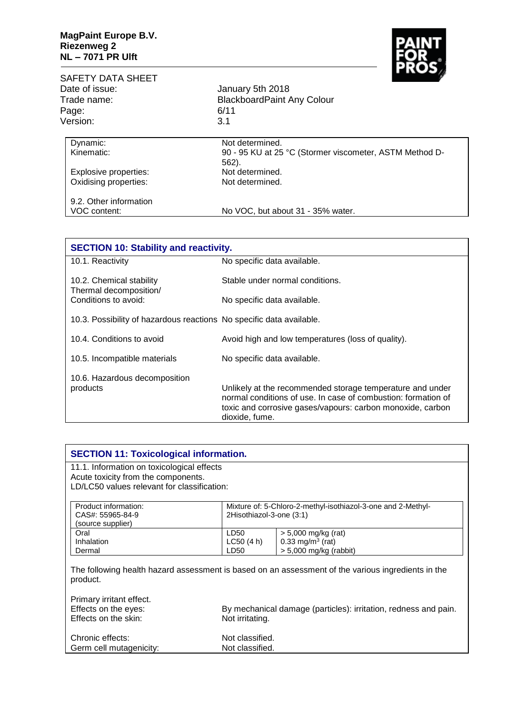

| SAFETY DATA SHEET      |                                                                     |
|------------------------|---------------------------------------------------------------------|
| Date of issue:         | January 5th 2018                                                    |
| Trade name:            | <b>BlackboardPaint Any Colour</b><br>6/11                           |
| Page:                  |                                                                     |
| Version:               | 3.1                                                                 |
| Dynamic:               | Not determined.                                                     |
| Kinematic:             | 90 - 95 KU at 25 °C (Stormer viscometer, ASTM Method D-<br>$562$ ). |
| Explosive properties:  | Not determined.                                                     |
| Oxidising properties:  | Not determined.                                                     |
| 9.2. Other information |                                                                     |
| VOC content:           | No VOC, but about 31 - 35% water.                                   |

| <b>SECTION 10: Stability and reactivity.</b>                               |                                                                                                                                                                                                            |
|----------------------------------------------------------------------------|------------------------------------------------------------------------------------------------------------------------------------------------------------------------------------------------------------|
| 10.1. Reactivity                                                           | No specific data available.                                                                                                                                                                                |
| 10.2. Chemical stability<br>Thermal decomposition/<br>Conditions to avoid: | Stable under normal conditions.                                                                                                                                                                            |
|                                                                            | No specific data available.                                                                                                                                                                                |
| 10.3. Possibility of hazardous reactions No specific data available.       |                                                                                                                                                                                                            |
| 10.4. Conditions to avoid                                                  | Avoid high and low temperatures (loss of quality).                                                                                                                                                         |
| 10.5. Incompatible materials                                               | No specific data available.                                                                                                                                                                                |
| 10.6. Hazardous decomposition<br>products                                  | Unlikely at the recommended storage temperature and under<br>normal conditions of use. In case of combustion: formation of<br>toxic and corrosive gases/vapours: carbon monoxide, carbon<br>dioxide, fume. |

| Acute toxicity from the components.                          |                                                                                                    |
|--------------------------------------------------------------|----------------------------------------------------------------------------------------------------|
| LD/LC50 values relevant for classification:                  |                                                                                                    |
|                                                              |                                                                                                    |
| Mixture of: 5-Chloro-2-methyl-isothiazol-3-one and 2-Methyl- |                                                                                                    |
| 2Hisothiazol-3-one (3:1)                                     |                                                                                                    |
|                                                              |                                                                                                    |
| LD50                                                         | $> 5,000$ mg/kg (rat)                                                                              |
| LC50(4 h)                                                    | 0.33 mg/m <sup>3</sup> (rat)                                                                       |
| LD50                                                         | $> 5,000$ mg/kg (rabbit)                                                                           |
|                                                              |                                                                                                    |
|                                                              | The following health hazard assessment is based on an assessment of the various ingredients in the |
|                                                              |                                                                                                    |

| Primary irritant effect. |                                                                 |
|--------------------------|-----------------------------------------------------------------|
| Effects on the eyes:     | By mechanical damage (particles): irritation, redness and pain. |
| Effects on the skin:     | Not irritating.                                                 |
|                          |                                                                 |
| Chronic effects:         | Not classified.                                                 |
| Germ cell mutagenicity:  | Not classified.                                                 |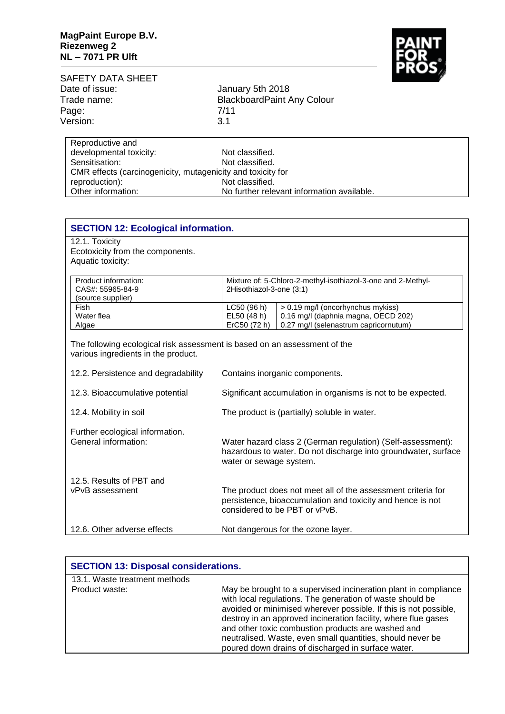

| SAFETY DATA SHEET |                                   |
|-------------------|-----------------------------------|
| Date of issue:    | January 5th 2018                  |
| Trade name:       | <b>BlackboardPaint Any Colour</b> |
| Page:             | 7/11                              |
| Version:          | 3.1                               |
| Reproductive and  |                                   |

| developmental toxicity:                                     | Not classified.                            |  |
|-------------------------------------------------------------|--------------------------------------------|--|
| Sensitisation:                                              | Not classified.                            |  |
| CMR effects (carcinogenicity, mutagenicity and toxicity for |                                            |  |
| reproduction):                                              | Not classified.                            |  |
| Other information:                                          | No further relevant information available. |  |

| <b>SECTION 12: Ecological information.</b>                                                                       |                                                                                                                                                             |  |
|------------------------------------------------------------------------------------------------------------------|-------------------------------------------------------------------------------------------------------------------------------------------------------------|--|
| 12.1. Toxicity                                                                                                   |                                                                                                                                                             |  |
| Ecotoxicity from the components.                                                                                 |                                                                                                                                                             |  |
| Aquatic toxicity:                                                                                                |                                                                                                                                                             |  |
| Product information:                                                                                             |                                                                                                                                                             |  |
| CAS#: 55965-84-9                                                                                                 | Mixture of: 5-Chloro-2-methyl-isothiazol-3-one and 2-Methyl-<br>2Hisothiazol-3-one (3:1)                                                                    |  |
| (source supplier)                                                                                                |                                                                                                                                                             |  |
| Fish                                                                                                             | LC50 (96 h)<br>> 0.19 mg/l (oncorhynchus mykiss)                                                                                                            |  |
| Water flea                                                                                                       | 0.16 mg/l (daphnia magna, OECD 202)<br>EL50 (48 h)                                                                                                          |  |
| Algae                                                                                                            | ErC50 (72 h)<br>0.27 mg/l (selenastrum capricornutum)                                                                                                       |  |
| The following ecological risk assessment is based on an assessment of the<br>various ingredients in the product. |                                                                                                                                                             |  |
| 12.2. Persistence and degradability                                                                              | Contains inorganic components.                                                                                                                              |  |
| 12.3. Bioaccumulative potential                                                                                  | Significant accumulation in organisms is not to be expected.                                                                                                |  |
| 12.4. Mobility in soil                                                                                           | The product is (partially) soluble in water.                                                                                                                |  |
| Further ecological information.<br>General information:                                                          | Water hazard class 2 (German regulation) (Self-assessment):<br>hazardous to water. Do not discharge into groundwater, surface<br>water or sewage system.    |  |
| 12.5. Results of PBT and<br>vPvB assessment                                                                      | The product does not meet all of the assessment criteria for<br>persistence, bioaccumulation and toxicity and hence is not<br>considered to be PBT or vPvB. |  |
| 12.6. Other adverse effects                                                                                      | Not dangerous for the ozone layer.                                                                                                                          |  |

| <b>SECTION 13: Disposal considerations.</b> |                                                                                                                                                                                                                                                                                                                                                                                                                                              |
|---------------------------------------------|----------------------------------------------------------------------------------------------------------------------------------------------------------------------------------------------------------------------------------------------------------------------------------------------------------------------------------------------------------------------------------------------------------------------------------------------|
| 13.1. Waste treatment methods               |                                                                                                                                                                                                                                                                                                                                                                                                                                              |
| Product waste:                              | May be brought to a supervised incineration plant in compliance<br>with local regulations. The generation of waste should be<br>avoided or minimised wherever possible. If this is not possible,<br>destroy in an approved incineration facility, where flue gases<br>and other toxic combustion products are washed and<br>neutralised. Waste, even small quantities, should never be<br>poured down drains of discharged in surface water. |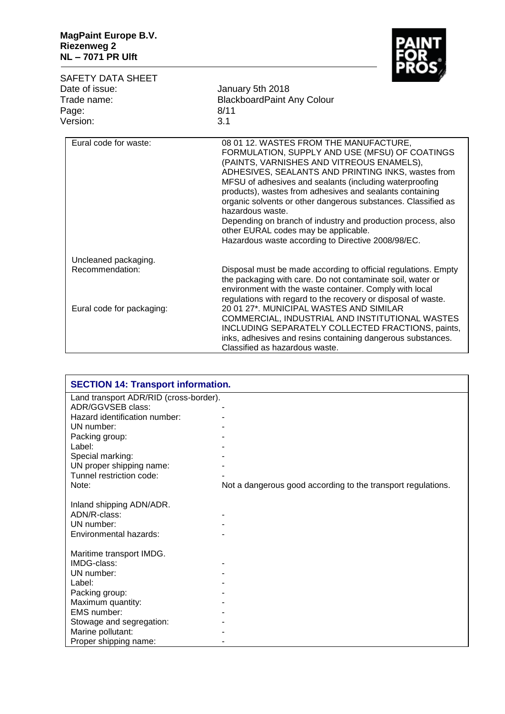

| SAFETY DATA SHEET<br>Date of issue:<br>Trade name:<br>Page:<br>Version: | г лоэ,<br>January 5th 2018<br><b>BlackboardPaint Any Colour</b><br>8/11<br>3.1                                                                                                                                                                                                                                                                                                                                                                                                                                                                                        |
|-------------------------------------------------------------------------|-----------------------------------------------------------------------------------------------------------------------------------------------------------------------------------------------------------------------------------------------------------------------------------------------------------------------------------------------------------------------------------------------------------------------------------------------------------------------------------------------------------------------------------------------------------------------|
| Eural code for waste:                                                   | 08 01 12. WASTES FROM THE MANUFACTURE,<br>FORMULATION, SUPPLY AND USE (MFSU) OF COATINGS<br>(PAINTS, VARNISHES AND VITREOUS ENAMELS),<br>ADHESIVES, SEALANTS AND PRINTING INKS, wastes from<br>MFSU of adhesives and sealants (including waterproofing<br>products), wastes from adhesives and sealants containing<br>organic solvents or other dangerous substances. Classified as<br>hazardous waste.<br>Depending on branch of industry and production process, also<br>other EURAL codes may be applicable.<br>Hazardous waste according to Directive 2008/98/EC. |
| Uncleaned packaging.                                                    |                                                                                                                                                                                                                                                                                                                                                                                                                                                                                                                                                                       |
| Recommendation:                                                         | Disposal must be made according to official regulations. Empty<br>the packaging with care. Do not contaminate soil, water or<br>environment with the waste container. Comply with local<br>regulations with regard to the recovery or disposal of waste.                                                                                                                                                                                                                                                                                                              |
| Eural code for packaging:                                               | 20 01 27*, MUNICIPAL WASTES AND SIMILAR<br>COMMERCIAL, INDUSTRIAL AND INSTITUTIONAL WASTES<br>INCLUDING SEPARATELY COLLECTED FRACTIONS, paints,<br>inks, adhesives and resins containing dangerous substances.<br>Classified as hazardous waste.                                                                                                                                                                                                                                                                                                                      |

| <b>SECTION 14: Transport information.</b> |                                                              |
|-------------------------------------------|--------------------------------------------------------------|
| Land transport ADR/RID (cross-border).    |                                                              |
| ADR/GGVSEB class:                         |                                                              |
| Hazard identification number:             |                                                              |
| UN number:                                |                                                              |
| Packing group:                            |                                                              |
| Label:                                    |                                                              |
| Special marking:                          |                                                              |
| UN proper shipping name:                  |                                                              |
| Tunnel restriction code:                  |                                                              |
| Note:                                     | Not a dangerous good according to the transport regulations. |
|                                           |                                                              |
| Inland shipping ADN/ADR.                  |                                                              |
| ADN/R-class:                              |                                                              |
| UN number:                                |                                                              |
| Environmental hazards:                    |                                                              |
|                                           |                                                              |
| Maritime transport IMDG.                  |                                                              |
| IMDG-class:                               |                                                              |
| UN number:                                |                                                              |
| Label:                                    |                                                              |
| Packing group:                            |                                                              |
| Maximum quantity:                         |                                                              |
| EMS number:                               |                                                              |
| Stowage and segregation:                  |                                                              |
| Marine pollutant:                         |                                                              |
| Proper shipping name:                     |                                                              |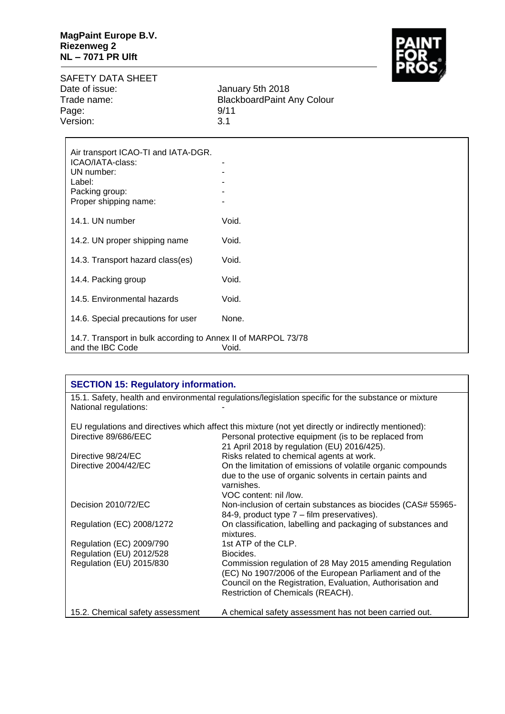

SAFETY DATA SHEET<br>Date of issue: Date of issue: January 5th 2018 Page: 9/11<br>Version: 3.1 Version:

Trade name: BlackboardPaint Any Colour

| Air transport ICAO-TI and IATA-DGR.<br>ICAO/IATA-class:<br>UN number:<br>Label:            |       |
|--------------------------------------------------------------------------------------------|-------|
| Packing group:<br>Proper shipping name:                                                    |       |
| 14.1. UN number                                                                            | Void. |
| 14.2. UN proper shipping name                                                              | Void. |
| 14.3. Transport hazard class(es)                                                           | Void. |
| 14.4. Packing group                                                                        | Void. |
| 14.5. Environmental hazards                                                                | Void. |
| 14.6. Special precautions for user                                                         | None. |
| 14.7. Transport in bulk according to Annex II of MARPOL 73/78<br>and the IBC Code<br>Void. |       |

| <b>SECTION 15: Regulatory information.</b>                                                           |                                                                           |  |
|------------------------------------------------------------------------------------------------------|---------------------------------------------------------------------------|--|
| 15.1. Safety, health and environmental regulations/legislation specific for the substance or mixture |                                                                           |  |
| National regulations:                                                                                |                                                                           |  |
| EU regulations and directives which affect this mixture (not yet directly or indirectly mentioned):  |                                                                           |  |
| Directive 89/686/EEC                                                                                 | Personal protective equipment (is to be replaced from                     |  |
|                                                                                                      | 21 April 2018 by regulation (EU) 2016/425).                               |  |
| Directive 98/24/EC                                                                                   | Risks related to chemical agents at work.                                 |  |
| Directive 2004/42/EC                                                                                 | On the limitation of emissions of volatile organic compounds              |  |
|                                                                                                      | due to the use of organic solvents in certain paints and                  |  |
|                                                                                                      | varnishes.                                                                |  |
|                                                                                                      | VOC content: nil /low.                                                    |  |
| Decision 2010/72/EC                                                                                  | Non-inclusion of certain substances as biocides (CAS# 55965-              |  |
|                                                                                                      | 84-9, product type 7 – film preservatives).                               |  |
| Regulation (EC) 2008/1272                                                                            | On classification, labelling and packaging of substances and<br>mixtures. |  |
| Regulation (EC) 2009/790                                                                             | 1st ATP of the CLP.                                                       |  |
| Regulation (EU) 2012/528                                                                             | Biocides.                                                                 |  |
| Regulation (EU) 2015/830                                                                             | Commission regulation of 28 May 2015 amending Regulation                  |  |
|                                                                                                      | (EC) No 1907/2006 of the European Parliament and of the                   |  |
|                                                                                                      | Council on the Registration, Evaluation, Authorisation and                |  |
|                                                                                                      | Restriction of Chemicals (REACH).                                         |  |
| 15.2. Chemical safety assessment                                                                     | A chemical safety assessment has not been carried out.                    |  |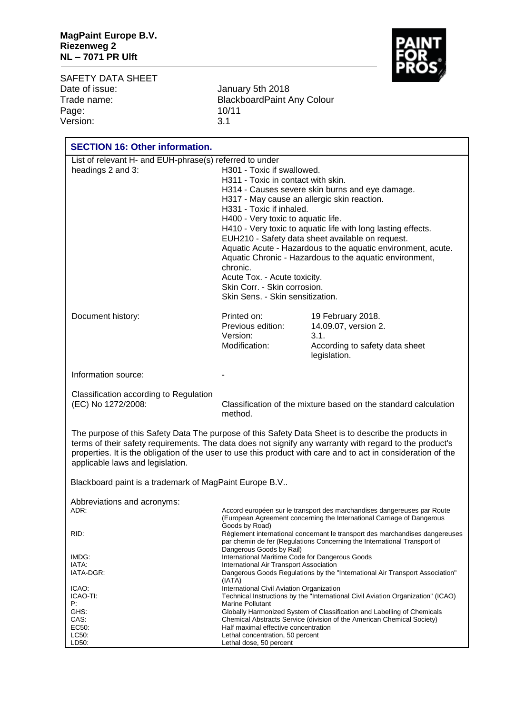

SAFETY DATA SHEET<br>Date of issue: Date of issue: January 5th 2018 Page: 10/11 Version:

Trade name: BlackboardPaint Any Colour

| <b>SECTION 16: Other information.</b>                                                                                                                                                                                                                                                                                                                                |                                                                                                                                                                                                                                                                                                                                                                                                                                                                                                                                                                                                     |                                                                                                                                                   |  |  |
|----------------------------------------------------------------------------------------------------------------------------------------------------------------------------------------------------------------------------------------------------------------------------------------------------------------------------------------------------------------------|-----------------------------------------------------------------------------------------------------------------------------------------------------------------------------------------------------------------------------------------------------------------------------------------------------------------------------------------------------------------------------------------------------------------------------------------------------------------------------------------------------------------------------------------------------------------------------------------------------|---------------------------------------------------------------------------------------------------------------------------------------------------|--|--|
| List of relevant H- and EUH-phrase(s) referred to under<br>headings 2 and 3:                                                                                                                                                                                                                                                                                         | H301 - Toxic if swallowed.<br>H311 - Toxic in contact with skin.<br>H314 - Causes severe skin burns and eye damage.<br>H317 - May cause an allergic skin reaction.<br>H331 - Toxic if inhaled.<br>H400 - Very toxic to aquatic life.<br>H410 - Very toxic to aquatic life with long lasting effects.<br>EUH210 - Safety data sheet available on request.<br>Aquatic Acute - Hazardous to the aquatic environment, acute.<br>Aquatic Chronic - Hazardous to the aquatic environment,<br>chronic.<br>Acute Tox. - Acute toxicity.<br>Skin Corr. - Skin corrosion.<br>Skin Sens. - Skin sensitization. |                                                                                                                                                   |  |  |
| Document history:                                                                                                                                                                                                                                                                                                                                                    | Printed on:<br>Previous edition:<br>Version:<br>Modification:                                                                                                                                                                                                                                                                                                                                                                                                                                                                                                                                       | 19 February 2018.<br>14.09.07, version 2.<br>3.1.<br>According to safety data sheet<br>legislation.                                               |  |  |
| Information source:                                                                                                                                                                                                                                                                                                                                                  |                                                                                                                                                                                                                                                                                                                                                                                                                                                                                                                                                                                                     |                                                                                                                                                   |  |  |
| Classification according to Regulation<br>(EC) No 1272/2008:                                                                                                                                                                                                                                                                                                         | Classification of the mixture based on the standard calculation<br>method.                                                                                                                                                                                                                                                                                                                                                                                                                                                                                                                          |                                                                                                                                                   |  |  |
| The purpose of this Safety Data The purpose of this Safety Data Sheet is to describe the products in<br>terms of their safety requirements. The data does not signify any warranty with regard to the product's<br>properties. It is the obligation of the user to use this product with care and to act in consideration of the<br>applicable laws and legislation. |                                                                                                                                                                                                                                                                                                                                                                                                                                                                                                                                                                                                     |                                                                                                                                                   |  |  |
| Blackboard paint is a trademark of MagPaint Europe B.V                                                                                                                                                                                                                                                                                                               |                                                                                                                                                                                                                                                                                                                                                                                                                                                                                                                                                                                                     |                                                                                                                                                   |  |  |
| Abbreviations and acronyms:<br>ADR:<br>RID:                                                                                                                                                                                                                                                                                                                          | Accord européen sur le transport des marchandises dangereuses par Route<br>(European Agreement concerning the International Carriage of Dangerous<br>Goods by Road)<br>Règlement international concernant le transport des marchandises dangereuses<br>par chemin de fer (Regulations Concerning the International Transport of                                                                                                                                                                                                                                                                     |                                                                                                                                                   |  |  |
| IMDG:<br>IATA:<br>IATA-DGR:<br>ICAO:<br>ICAO-TI:<br>P:                                                                                                                                                                                                                                                                                                               | Dangerous Goods by Rail)<br>International Maritime Code for Dangerous Goods<br>International Air Transport Association<br>Dangerous Goods Regulations by the "International Air Transport Association"<br>(IATA)<br>International Civil Aviation Organization<br>Technical Instructions by the "International Civil Aviation Organization" (ICAO)<br><b>Marine Pollutant</b>                                                                                                                                                                                                                        |                                                                                                                                                   |  |  |
| GHS:<br>CAS:<br>EC50:<br>LC50:<br>LD50:                                                                                                                                                                                                                                                                                                                              | Half maximal effective concentration<br>Lethal concentration, 50 percent<br>Lethal dose, 50 percent                                                                                                                                                                                                                                                                                                                                                                                                                                                                                                 | Globally Harmonized System of Classification and Labelling of Chemicals<br>Chemical Abstracts Service (division of the American Chemical Society) |  |  |